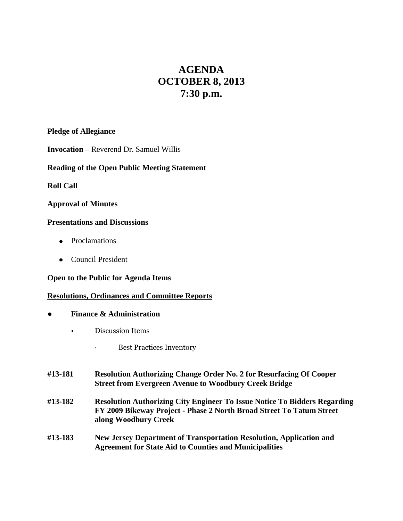# **AGENDA OCTOBER 8, 2013 7:30 p.m.**

### **Pledge of Allegiance**

**Invocation –** Reverend Dr. Samuel Willis

## **Reading of the Open Public Meeting Statement**

**Roll Call**

## **Approval of Minutes**

### **Presentations and Discussions**

- Proclamations
- Council President

### **Open to the Public for Agenda Items**

## **Resolutions, Ordinances and Committee Reports**

- **● Finance & Administration**
	- Discussion Items
		- · Best Practices Inventory
- **#13-181 Resolution Authorizing Change Order No. 2 for Resurfacing Of Cooper Street from Evergreen Avenue to Woodbury Creek Bridge**
- **#13-182 Resolution Authorizing City Engineer To Issue Notice To Bidders Regarding FY 2009 Bikeway Project - Phase 2 North Broad Street To Tatum Street along Woodbury Creek**
- **#13-183 New Jersey Department of Transportation Resolution, Application and Agreement for State Aid to Counties and Municipalities**